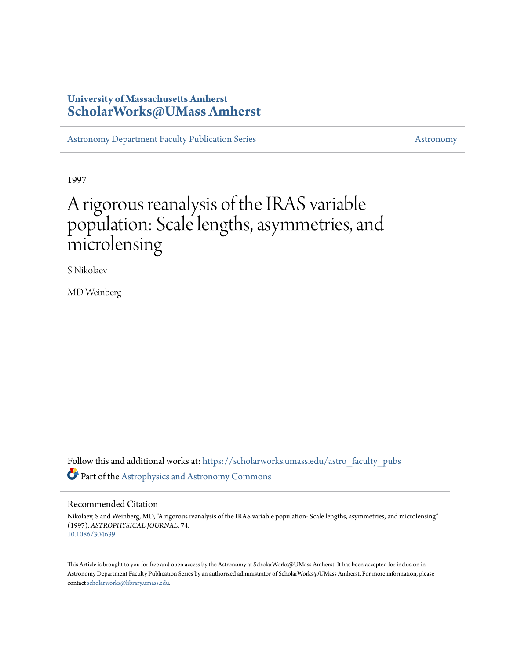## **University of Massachusetts Amherst [ScholarWorks@UMass Amherst](https://scholarworks.umass.edu?utm_source=scholarworks.umass.edu%2Fastro_faculty_pubs%2F74&utm_medium=PDF&utm_campaign=PDFCoverPages)**

[Astronomy Department Faculty Publication Series](https://scholarworks.umass.edu/astro_faculty_pubs?utm_source=scholarworks.umass.edu%2Fastro_faculty_pubs%2F74&utm_medium=PDF&utm_campaign=PDFCoverPages) [Astronomy](https://scholarworks.umass.edu/astro?utm_source=scholarworks.umass.edu%2Fastro_faculty_pubs%2F74&utm_medium=PDF&utm_campaign=PDFCoverPages) Astronomy

1997

# A rigorous reanalysis of the IRAS variable population: Scale lengths, asymmetries, and microlensing

S Nikolaev

MD Weinberg

Follow this and additional works at: [https://scholarworks.umass.edu/astro\\_faculty\\_pubs](https://scholarworks.umass.edu/astro_faculty_pubs?utm_source=scholarworks.umass.edu%2Fastro_faculty_pubs%2F74&utm_medium=PDF&utm_campaign=PDFCoverPages) Part of the [Astrophysics and Astronomy Commons](http://network.bepress.com/hgg/discipline/123?utm_source=scholarworks.umass.edu%2Fastro_faculty_pubs%2F74&utm_medium=PDF&utm_campaign=PDFCoverPages)

#### Recommended Citation

Nikolaev, S and Weinberg, MD, "A rigorous reanalysis of the IRAS variable population: Scale lengths, asymmetries, and microlensing" (1997). *ASTROPHYSICAL JOURNAL*. 74. <10.1086/304639>

This Article is brought to you for free and open access by the Astronomy at ScholarWorks@UMass Amherst. It has been accepted for inclusion in Astronomy Department Faculty Publication Series by an authorized administrator of ScholarWorks@UMass Amherst. For more information, please contact [scholarworks@library.umass.edu](mailto:scholarworks@library.umass.edu).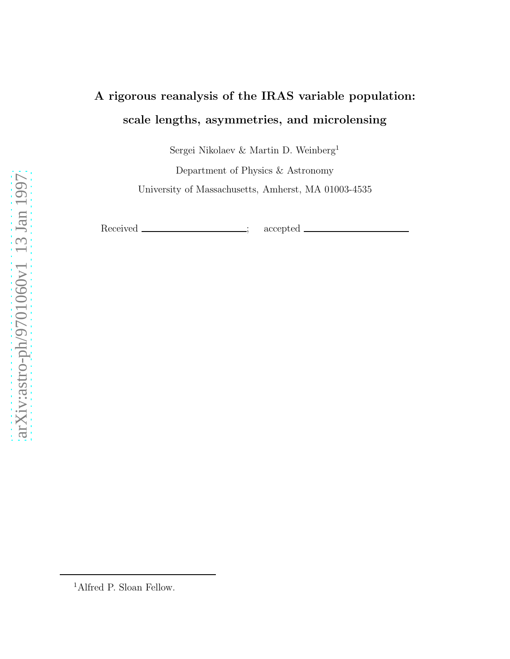## A rigorous reanalysis of the IRAS variable population: scale lengths, asymmetries, and microlensing

Sergei Nikolaev & Martin D. Weinberg<sup>1</sup> Department of Physics & Astronomy

University of Massachusetts, Amherst, MA 01003-4535

Received \_\_\_\_\_\_\_\_\_\_\_\_\_\_\_\_\_; accepted .

<sup>&</sup>lt;sup>1</sup>Alfred P. Sloan Fellow.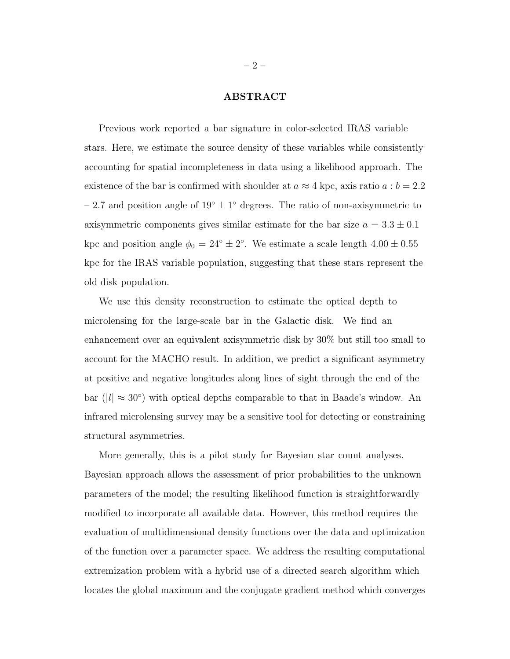#### ABSTRACT

Previous work reported a bar signature in color-selected IRAS variable stars. Here, we estimate the source density of these variables while consistently accounting for spatial incompleteness in data using a likelihood approach. The existence of the bar is confirmed with shoulder at  $a \approx 4$  kpc, axis ratio  $a : b = 2.2$ – 2.7 and position angle of  $19^{\circ}$  ± 1 $^{\circ}$  degrees. The ratio of non-axisymmetric to axisymmetric components gives similar estimate for the bar size  $a = 3.3 \pm 0.1$ kpc and position angle  $\phi_0 = 24^\circ \pm 2^\circ$ . We estimate a scale length  $4.00 \pm 0.55$ kpc for the IRAS variable population, suggesting that these stars represent the old disk population.

We use this density reconstruction to estimate the optical depth to microlensing for the large-scale bar in the Galactic disk. We find an enhancement over an equivalent axisymmetric disk by 30% but still too small to account for the MACHO result. In addition, we predict a significant asymmetry at positive and negative longitudes along lines of sight through the end of the bar ( $|l| \approx 30^{\circ}$ ) with optical depths comparable to that in Baade's window. An infrared microlensing survey may be a sensitive tool for detecting or constraining structural asymmetries.

More generally, this is a pilot study for Bayesian star count analyses. Bayesian approach allows the assessment of prior probabilities to the unknown parameters of the model; the resulting likelihood function is straightforwardly modified to incorporate all available data. However, this method requires the evaluation of multidimensional density functions over the data and optimization of the function over a parameter space. We address the resulting computational extremization problem with a hybrid use of a directed search algorithm which locates the global maximum and the conjugate gradient method which converges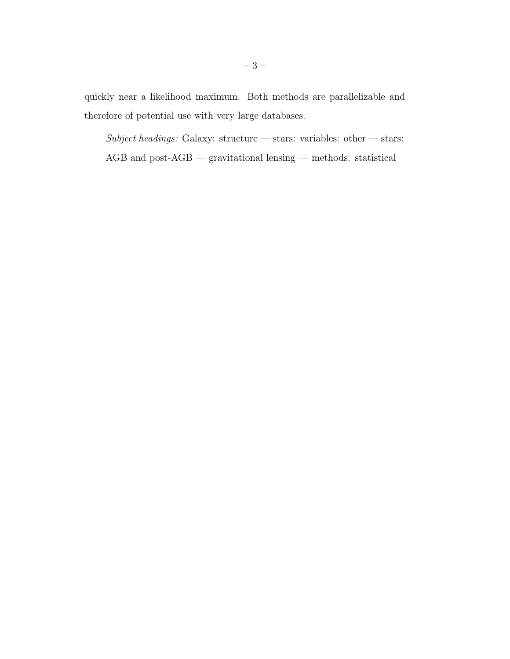quickly near a likelihood maximum. Both methods are parallelizable and therefore of potential use with very large databases.

Subject headings: Galaxy: structure — stars: variables: other — stars: AGB and post-AGB — gravitational lensing — methods: statistical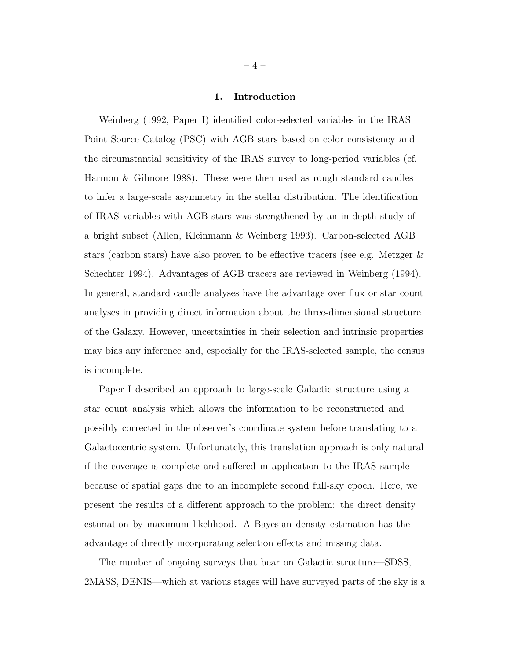#### 1. Introduction

Weinberg (1992, Paper I) identified color-selected variables in the IRAS Point Source Catalog (PSC) with AGB stars based on color consistency and the circumstantial sensitivity of the IRAS survey to long-period variables (cf. Harmon & Gilmore 1988). These were then used as rough standard candles to infer a large-scale asymmetry in the stellar distribution. The identification of IRAS variables with AGB stars was strengthened by an in-depth study of a bright subset (Allen, Kleinmann & Weinberg 1993). Carbon-selected AGB stars (carbon stars) have also proven to be effective tracers (see e.g. Metzger & Schechter 1994). Advantages of AGB tracers are reviewed in Weinberg (1994). In general, standard candle analyses have the advantage over flux or star count analyses in providing direct information about the three-dimensional structure of the Galaxy. However, uncertainties in their selection and intrinsic properties may bias any inference and, especially for the IRAS-selected sample, the census is incomplete.

Paper I described an approach to large-scale Galactic structure using a star count analysis which allows the information to be reconstructed and possibly corrected in the observer's coordinate system before translating to a Galactocentric system. Unfortunately, this translation approach is only natural if the coverage is complete and suffered in application to the IRAS sample because of spatial gaps due to an incomplete second full-sky epoch. Here, we present the results of a different approach to the problem: the direct density estimation by maximum likelihood. A Bayesian density estimation has the advantage of directly incorporating selection effects and missing data.

The number of ongoing surveys that bear on Galactic structure—SDSS, 2MASS, DENIS—which at various stages will have surveyed parts of the sky is a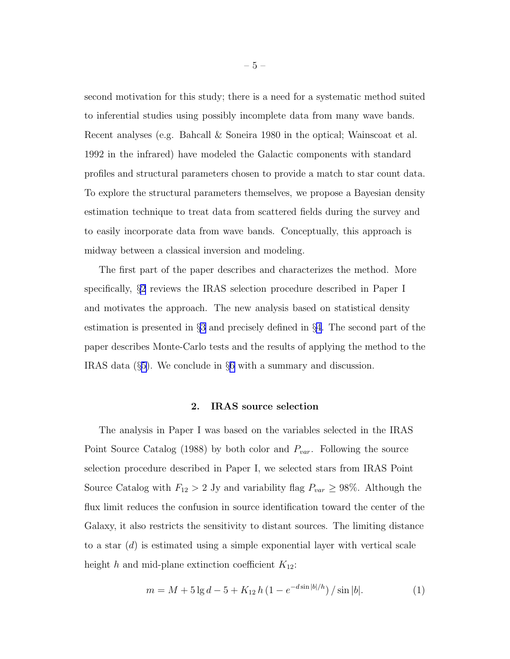<span id="page-5-0"></span>second motivation for this study; there is a need for a systematic method suited to inferential studies using possibly incomplete data from many wave bands. Recent analyses (e.g. Bahcall & Soneira 1980 in the optical; Wainscoat et al. 1992 in the infrared) have modeled the Galactic components with standard profiles and structural parameters chosen to provide a match to star count data. To explore the structural parameters themselves, we propose a Bayesian density estimation technique to treat data from scattered fields during the survey and to easily incorporate data from wave bands. Conceptually, this approach is midway between a classical inversion and modeling.

The first part of the paper describes and characterizes the method. More specifically, §2 reviews the IRAS selection procedure described in Paper I and motivates the approach. The new analysis based on statistical density estimation is presented in §[3](#page-6-0) and precisely defined in §[4](#page-7-0). The second part of the paper describes Monte-Carlo tests and the results of applying the method to the IRAS data (§[5\)](#page-10-0). We conclude in §[6](#page-18-0) with a summary and discussion.

#### 2. IRAS source selection

The analysis in Paper I was based on the variables selected in the IRAS Point Source Catalog (1988) by both color and  $P_{var}$ . Following the source selection procedure described in Paper I, we selected stars from IRAS Point Source Catalog with  $F_{12} > 2$  Jy and variability flag  $P_{var} \geq 98\%$ . Although the flux limit reduces the confusion in source identification toward the center of the Galaxy, it also restricts the sensitivity to distant sources. The limiting distance to a star  $(d)$  is estimated using a simple exponential layer with vertical scale height h and mid-plane extinction coefficient  $K_{12}$ :

$$
m = M + 5 \lg d - 5 + K_{12} h \left( 1 - e^{-d \sin |b|/h} \right) / \sin |b|.
$$
 (1)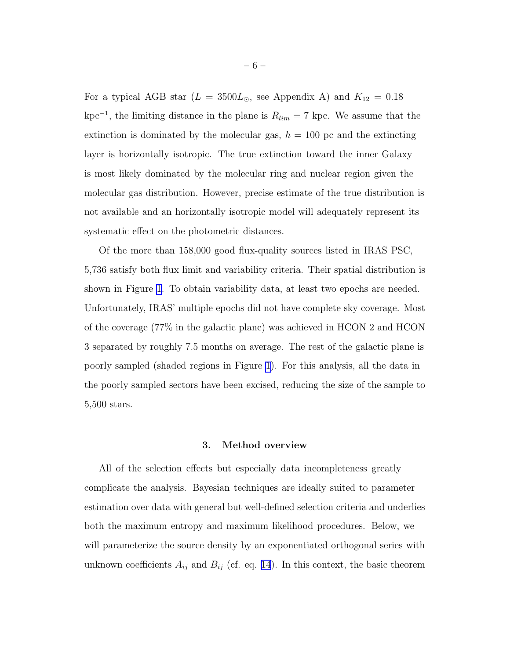<span id="page-6-0"></span>For a typical AGB star ( $L = 3500L_{\odot}$ , see Appendix A) and  $K_{12} = 0.18$  $kpc^{-1}$ , the limiting distance in the plane is  $R_{lim} = 7$  kpc. We assume that the extinction is dominated by the molecular gas,  $h = 100$  pc and the extincting layer is horizontally isotropic. The true extinction toward the inner Galaxy is most likely dominated by the molecular ring and nuclear region given the molecular gas distribution. However, precise estimate of the true distribution is not available and an horizontally isotropic model will adequately represent its systematic effect on the photometric distances.

Of the more than 158,000 good flux-quality sources listed in IRAS PSC, 5,736 satisfy both flux limit and variability criteria. Their spatial distribution is shown in Figure [1](#page-26-0). To obtain variability data, at least two epochs are needed. Unfortunately, IRAS' multiple epochs did not have complete sky coverage. Most of the coverage (77% in the galactic plane) was achieved in HCON 2 and HCON 3 separated by roughly 7.5 months on average. The rest of the galactic plane is poorly sampled (shaded regions in Figure [1](#page-26-0)). For this analysis, all the data in the poorly sampled sectors have been excised, reducing the size of the sample to 5,500 stars.

#### 3. Method overview

All of the selection effects but especially data incompleteness greatly complicate the analysis. Bayesian techniques are ideally suited to parameter estimation over data with general but well-defined selection criteria and underlies both the maximum entropy and maximum likelihood procedures. Below, we will parameterize the source density by an exponentiated orthogonal series with unknown coefficients  $A_{ij}$  and  $B_{ij}$  (cf. eq. [14](#page-10-0)). In this context, the basic theorem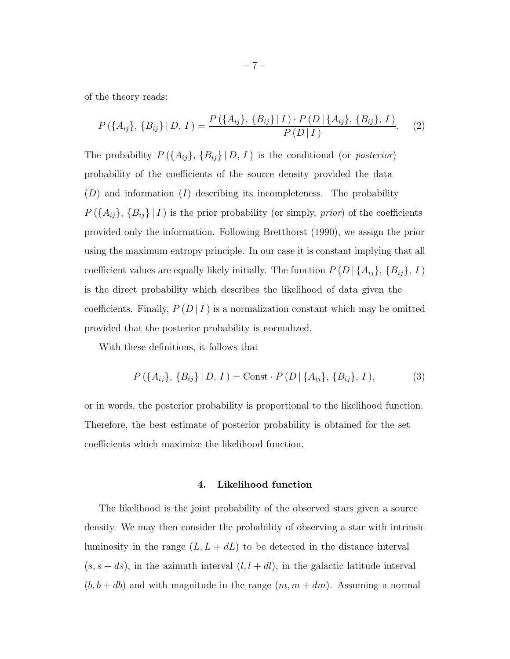<span id="page-7-0"></span>of the theory reads:

$$
P(\lbrace A_{ij}\rbrace, \lbrace B_{ij}\rbrace | D, I) = \frac{P(\lbrace A_{ij}\rbrace, \lbrace B_{ij}\rbrace | I) \cdot P(D \mid \lbrace A_{ij}\rbrace, \lbrace B_{ij}\rbrace, I)}{P(D \mid I)}.
$$
 (2)

The probability  $P(\lbrace A_{ij} \rbrace, \lbrace B_{ij} \rbrace | D, I)$  is the conditional (or *posterior*) probability of the coefficients of the source density provided the data  $(D)$  and information  $(I)$  describing its incompleteness. The probability  $P(\lbrace A_{ij} \rbrace, \lbrace B_{ij} \rbrace | I)$  is the prior probability (or simply, *prior*) of the coefficients provided only the information. Following Bretthorst (1990), we assign the prior using the maximum entropy principle. In our case it is constant implying that all coefficient values are equally likely initially. The function  $P(D | \{A_{ij}\}, \{B_{ij}\}, I)$ is the direct probability which describes the likelihood of data given the coefficients. Finally,  $P(D | I)$  is a normalization constant which may be omitted provided that the posterior probability is normalized.

With these definitions, it follows that

$$
P({A_{ij}}, {B_{ij}} | D, I) = Const \cdot P(D | {A_{ij}}, {B_{ij}}, I),
$$
 (3)

or in words, the posterior probability is proportional to the likelihood function. Therefore, the best estimate of posterior probability is obtained for the set coefficients which maximize the likelihood function.

#### 4. Likelihood function

The likelihood is the joint probability of the observed stars given a source density. We may then consider the probability of observing a star with intrinsic luminosity in the range  $(L, L + dL)$  to be detected in the distance interval  $(s, s + ds)$ , in the azimuth interval  $(l, l + dl)$ , in the galactic latitude interval  $(b, b + db)$  and with magnitude in the range  $(m, m + dm)$ . Assuming a normal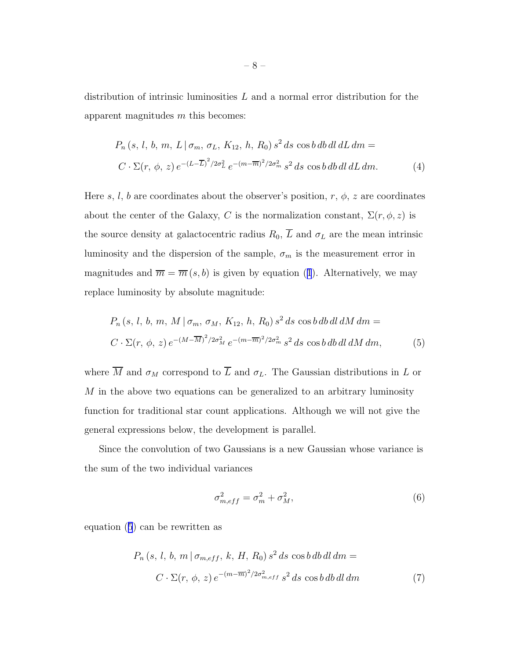distribution of intrinsic luminosities L and a normal error distribution for the apparent magnitudes  $m$  this becomes:

$$
P_n (s, l, b, m, L | \sigma_m, \sigma_L, K_{12}, h, R_0) s^2 ds \cos b db dl dL dm =
$$
  

$$
C \cdot \Sigma(r, \phi, z) e^{-(L-\overline{L})^2/2\sigma_L^2} e^{-(m-\overline{m})^2/2\sigma_m^2} s^2 ds \cos b db dl dL dm.
$$
 (4)

Here s, l, b are coordinates about the observer's position, r,  $\phi$ , z are coordinates about the center of the Galaxy, C is the normalization constant,  $\Sigma(r, \phi, z)$  is the source density at galactocentric radius  $R_0$ ,  $\overline{L}$  and  $\sigma_L$  are the mean intrinsic luminosity and the dispersion of the sample,  $\sigma_m$  is the measurement error in magnitudes and  $\overline{m} = \overline{m}(s, b)$  is given by equation ([1](#page-5-0)). Alternatively, we may replace luminosity by absolute magnitude:

$$
P_n (s, l, b, m, M | \sigma_m, \sigma_M, K_{12}, h, R_0) s^2 ds \cos b db dl dM dm =
$$
  

$$
C \cdot \Sigma(r, \phi, z) e^{-(M - \overline{M})^2 / 2\sigma_M^2} e^{-(m - \overline{m})^2 / 2\sigma_m^2} s^2 ds \cos b db dl dM dm,
$$
 (5)

where  $\overline{M}$  and  $\sigma_M$  correspond to  $\overline{L}$  and  $\sigma_L$ . The Gaussian distributions in L or M in the above two equations can be generalized to an arbitrary luminosity function for traditional star count applications. Although we will not give the general expressions below, the development is parallel.

Since the convolution of two Gaussians is a new Gaussian whose variance is the sum of the two individual variances

$$
\sigma_{m,eff}^2 = \sigma_m^2 + \sigma_M^2,\tag{6}
$$

equation (5) can be rewritten as

$$
P_n(s, l, b, m \mid \sigma_{m,eff}, k, H, R_0) s^2 ds \cos b db dl dm =
$$
  

$$
C \cdot \Sigma(r, \phi, z) e^{-(m - \overline{m})^2/2\sigma_{m,eff}^2} s^2 ds \cos b db dl dm
$$
 (7)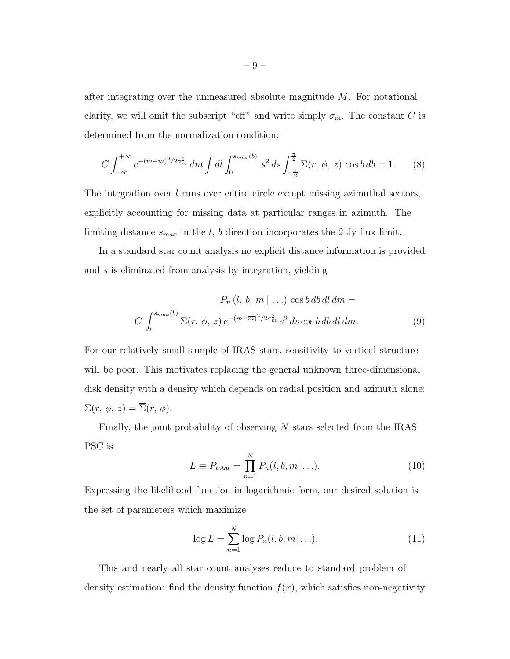<span id="page-9-0"></span>after integrating over the unmeasured absolute magnitude M. For notational clarity, we will omit the subscript "eff" and write simply  $\sigma_m$ . The constant C is determined from the normalization condition:

$$
C \int_{-\infty}^{+\infty} e^{-(m-\overline{m})^2/2\sigma_m^2} dm \int dl \int_0^{s_{max}(b)} s^2 ds \int_{-\frac{\pi}{2}}^{\frac{\pi}{2}} \Sigma(r, \phi, z) \cos b \, db = 1. \tag{8}
$$

The integration over  $l$  runs over entire circle except missing azimuthal sectors, explicitly accounting for missing data at particular ranges in azimuth. The limiting distance  $s_{max}$  in the l, b direction incorporates the 2 Jy flux limit.

In a standard star count analysis no explicit distance information is provided and s is eliminated from analysis by integration, yielding

$$
P_n(l, b, m | \dots) \cos b \, db \, dl \, dm =
$$
  

$$
C \int_0^{s_{max}(b)} \Sigma(r, \phi, z) e^{-(m - \overline{m})^2 / 2\sigma_m^2} s^2 \, ds \cos b \, db \, dl \, dm. \tag{9}
$$

For our relatively small sample of IRAS stars, sensitivity to vertical structure will be poor. This motivates replacing the general unknown three-dimensional disk density with a density which depends on radial position and azimuth alone:  $\Sigma(r, \phi, z) = \overline{\Sigma}(r, \phi).$ 

Finally, the joint probability of observing N stars selected from the IRAS PSC is

$$
L \equiv P_{total} = \prod_{n=1}^{N} P_n(l, b, m | \dots).
$$
 (10)

Expressing the likelihood function in logarithmic form, our desired solution is the set of parameters which maximize

$$
\log L = \sum_{n=1}^{N} \log P_n(l, b, m | \dots).
$$
 (11)

This and nearly all star count analyses reduce to standard problem of density estimation: find the density function  $f(x)$ , which satisfies non-negativity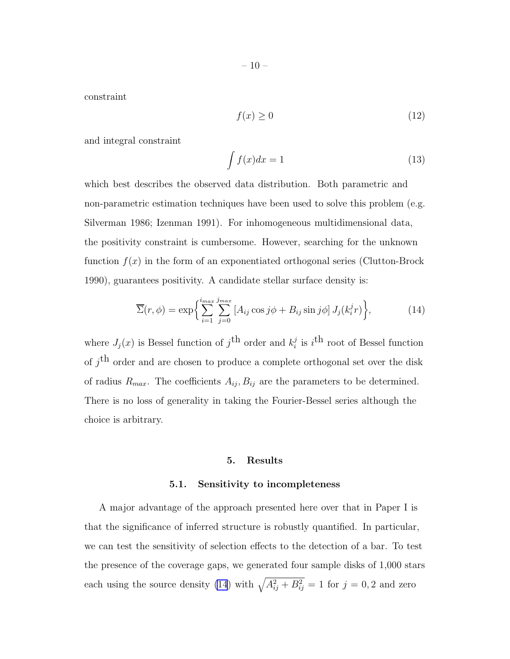<span id="page-10-0"></span>constraint

$$
f(x) \ge 0\tag{12}
$$

and integral constraint

$$
\int f(x)dx = 1\tag{13}
$$

which best describes the observed data distribution. Both parametric and non-parametric estimation techniques have been used to solve this problem (e.g. Silverman 1986; Izenman 1991). For inhomogeneous multidimensional data, the positivity constraint is cumbersome. However, searching for the unknown function  $f(x)$  in the form of an exponentiated orthogonal series (Clutton-Brock 1990), guarantees positivity. A candidate stellar surface density is:

$$
\overline{\Sigma}(r,\phi) = \exp\left\{\sum_{i=1}^{\text{i} \text{max}} \sum_{j=0}^{\text{i} \text{max}} \left[A_{ij}\cos j\phi + B_{ij}\sin j\phi\right] J_j(k_i^j r)\right\},\tag{14}
$$

where  $J_j(x)$  is Bessel function of  $j^{\text{th}}$  order and  $k_i^j$  $i$ <sub>i</sub> is  $i$ <sup>th</sup> root of Bessel function of  $j<sup>th</sup>$  order and are chosen to produce a complete orthogonal set over the disk of radius  $R_{max}$ . The coefficients  $A_{ij}$ ,  $B_{ij}$  are the parameters to be determined. There is no loss of generality in taking the Fourier-Bessel series although the choice is arbitrary.

#### 5. Results

#### 5.1. Sensitivity to incompleteness

A major advantage of the approach presented here over that in Paper I is that the significance of inferred structure is robustly quantified. In particular, we can test the sensitivity of selection effects to the detection of a bar. To test the presence of the coverage gaps, we generated four sample disks of 1,000 stars each using the source density (14) with  $\sqrt{A_{ij}^2 + B_{ij}^2} = 1$  for  $j = 0, 2$  and zero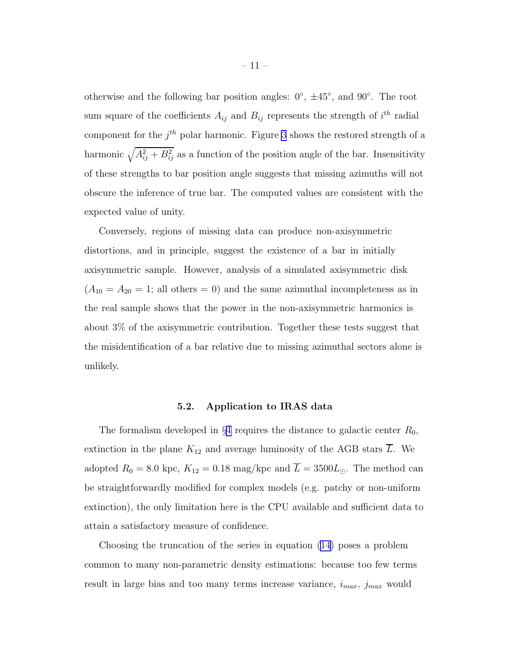otherwise and the following bar position angles:  $0^{\circ}$ ,  $\pm 45^{\circ}$ , and  $90^{\circ}$ . The root sum square of the coefficients  $A_{ij}$  and  $B_{ij}$  represents the strength of  $i^{th}$  radial component for the  $j<sup>th</sup>$  polar harmonic. Figure [3](#page-26-0) shows the restored strength of a harmonic  $\sqrt{A_{ij}^2 + B_{ij}^2}$  as a function of the position angle of the bar. Insensitivity of these strengths to bar position angle suggests that missing azimuths will not obscure the inference of true bar. The computed values are consistent with the expected value of unity.

Conversely, regions of missing data can produce non-axisymmetric distortions, and in principle, suggest the existence of a bar in initially axisymmetric sample. However, analysis of a simulated axisymmetric disk  $(A_{10} = A_{20} = 1;$  all others = 0) and the same azimuthal incompleteness as in the real sample shows that the power in the non-axisymmetric harmonics is about 3% of the axisymmetric contribution. Together these tests suggest that the misidentification of a bar relative due to missing azimuthal sectors alone is unlikely.

#### 5.2. Application to IRAS data

The formalism developed in §[4](#page-7-0) requires the distance to galactic center  $R_0$ , extinction in the plane  $K_{12}$  and average luminosity of the AGB stars  $\overline{L}$ . We adopted  $R_0 = 8.0$  kpc,  $K_{12} = 0.18$  mag/kpc and  $\overline{L} = 3500L_{\odot}$ . The method can be straightforwardly modified for complex models (e.g. patchy or non-uniform extinction), the only limitation here is the CPU available and sufficient data to attain a satisfactory measure of confidence.

Choosing the truncation of the series in equation [\(14\)](#page-10-0) poses a problem common to many non-parametric density estimations: because too few terms result in large bias and too many terms increase variance,  $i_{max}$ ,  $j_{max}$  would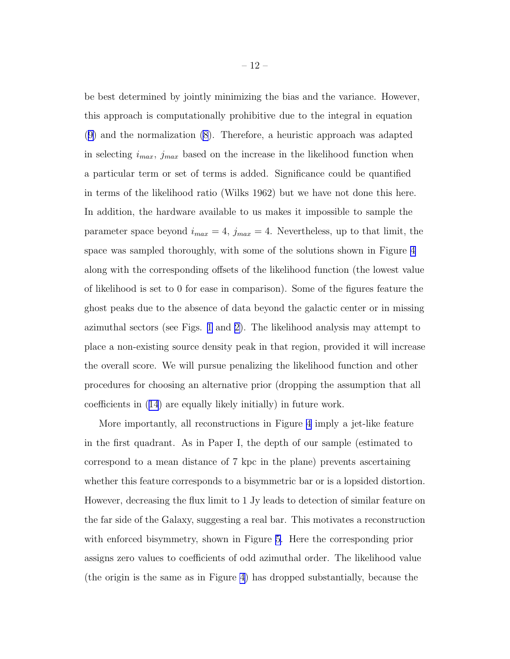be best determined by jointly minimizing the bias and the variance. However, this approach is computationally prohibitive due to the integral in equation ([9\)](#page-9-0) and the normalization [\(8](#page-9-0)). Therefore, a heuristic approach was adapted in selecting  $i_{max}$ ,  $j_{max}$  based on the increase in the likelihood function when a particular term or set of terms is added. Significance could be quantified in terms of the likelihood ratio (Wilks 1962) but we have not done this here. In addition, the hardware available to us makes it impossible to sample the parameter space beyond  $i_{max} = 4$ ,  $j_{max} = 4$ . Nevertheless, up to that limit, the space was sampled thoroughly, with some of the solutions shown in Figure [4](#page-26-0) along with the corresponding offsets of the likelihood function (the lowest value of likelihood is set to 0 for ease in comparison). Some of the figures feature the ghost peaks due to the absence of data beyond the galactic center or in missing azimuthal sectors (see Figs. [1](#page-26-0) and [2\)](#page-26-0). The likelihood analysis may attempt to place a non-existing source density peak in that region, provided it will increase the overall score. We will pursue penalizing the likelihood function and other procedures for choosing an alternative prior (dropping the assumption that all coefficients in ([14](#page-10-0)) are equally likely initially) in future work.

More importantly, all reconstructions in Figure [4](#page-26-0) imply a jet-like feature in the first quadrant. As in Paper I, the depth of our sample (estimated to correspond to a mean distance of 7 kpc in the plane) prevents ascertaining whether this feature corresponds to a bisymmetric bar or is a lopsided distortion. However, decreasing the flux limit to 1 Jy leads to detection of similar feature on the far side of the Galaxy, suggesting a real bar. This motivates a reconstruction with enforced bisymmetry, shown in Figure [5.](#page-26-0) Here the corresponding prior assigns zero values to coefficients of odd azimuthal order. The likelihood value (the origin is the same as in Figure [4](#page-26-0)) has dropped substantially, because the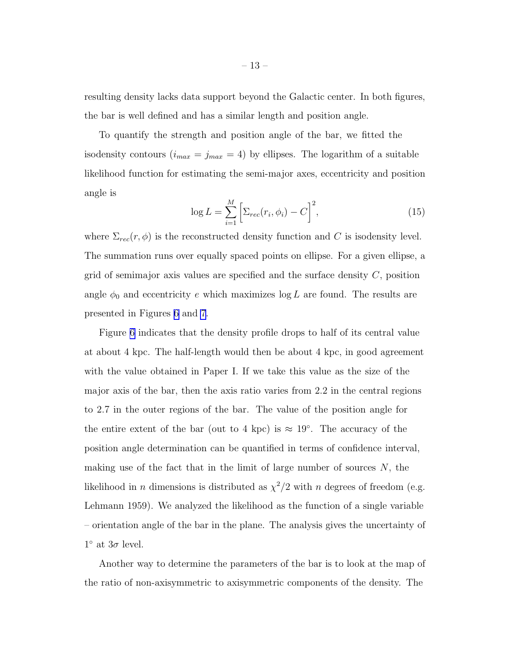resulting density lacks data support beyond the Galactic center. In both figures, the bar is well defined and has a similar length and position angle.

To quantify the strength and position angle of the bar, we fitted the isodensity contours  $(i_{max} = j_{max} = 4)$  by ellipses. The logarithm of a suitable likelihood function for estimating the semi-major axes, eccentricity and position angle is

$$
\log L = \sum_{i=1}^{M} \left[ \Sigma_{rec}(r_i, \phi_i) - C \right]^2,\tag{15}
$$

where  $\Sigma_{rec}(r, \phi)$  is the reconstructed density function and C is isodensity level. The summation runs over equally spaced points on ellipse. For a given ellipse, a grid of semimajor axis values are specified and the surface density  $C$ , position angle  $\phi_0$  and eccentricity e which maximizes  $\log L$  are found. The results are presented in Figures [6](#page-26-0) and [7](#page-26-0).

Figure [6](#page-26-0) indicates that the density profile drops to half of its central value at about 4 kpc. The half-length would then be about 4 kpc, in good agreement with the value obtained in Paper I. If we take this value as the size of the major axis of the bar, then the axis ratio varies from 2.2 in the central regions to 2.7 in the outer regions of the bar. The value of the position angle for the entire extent of the bar (out to 4 kpc) is  $\approx 19^{\circ}$ . The accuracy of the position angle determination can be quantified in terms of confidence interval, making use of the fact that in the limit of large number of sources  $N$ , the likelihood in *n* dimensions is distributed as  $\chi^2/2$  with *n* degrees of freedom (e.g. Lehmann 1959). We analyzed the likelihood as the function of a single variable – orientation angle of the bar in the plane. The analysis gives the uncertainty of  $1^\circ$  at  $3\sigma$  level.

Another way to determine the parameters of the bar is to look at the map of the ratio of non-axisymmetric to axisymmetric components of the density. The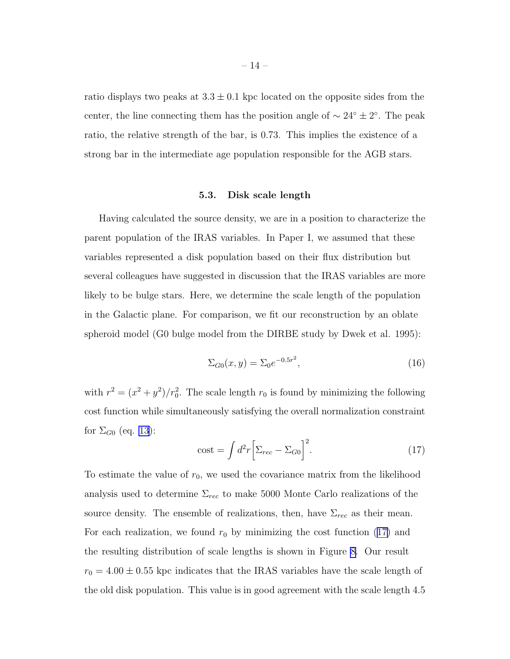ratio displays two peaks at  $3.3 \pm 0.1$  kpc located on the opposite sides from the center, the line connecting them has the position angle of  $\sim 24^{\circ} \pm 2^{\circ}$ . The peak ratio, the relative strength of the bar, is 0.73. This implies the existence of a strong bar in the intermediate age population responsible for the AGB stars.

#### 5.3. Disk scale length

Having calculated the source density, we are in a position to characterize the parent population of the IRAS variables. In Paper I, we assumed that these variables represented a disk population based on their flux distribution but several colleagues have suggested in discussion that the IRAS variables are more likely to be bulge stars. Here, we determine the scale length of the population in the Galactic plane. For comparison, we fit our reconstruction by an oblate spheroid model (G0 bulge model from the DIRBE study by Dwek et al. 1995):

$$
\Sigma_{G0}(x,y) = \Sigma_0 e^{-0.5r^2},\tag{16}
$$

with  $r^2 = (x^2 + y^2)/r_0^2$ . The scale length  $r_0$  is found by minimizing the following cost function while simultaneously satisfying the overall normalization constraint for  $\Sigma_{G0}$  (eq. [13](#page-10-0)):

$$
\text{cost} = \int d^2 r \left[ \Sigma_{rec} - \Sigma_{G0} \right]^2. \tag{17}
$$

To estimate the value of  $r_0$ , we used the covariance matrix from the likelihood analysis used to determine  $\Sigma_{rec}$  to make 5000 Monte Carlo realizations of the source density. The ensemble of realizations, then, have  $\Sigma_{rec}$  as their mean. For each realization, we found  $r_0$  by minimizing the cost function (17) and the resulting distribution of scale lengths is shown in Figure [8.](#page-26-0) Our result  $r_0 = 4.00 \pm 0.55$  kpc indicates that the IRAS variables have the scale length of the old disk population. This value is in good agreement with the scale length 4.5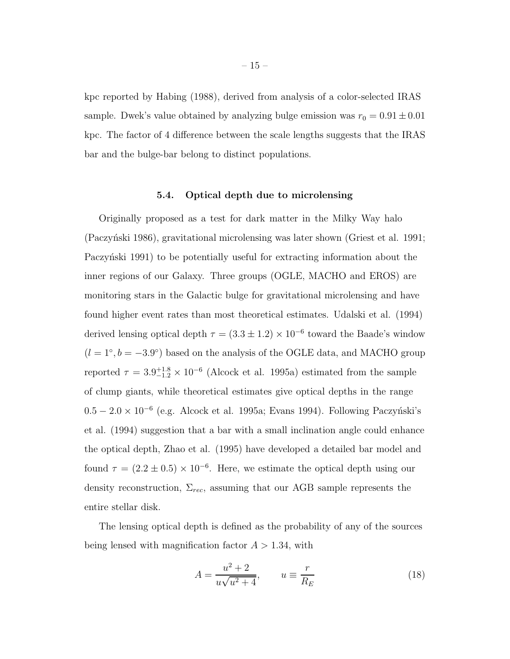kpc reported by Habing (1988), derived from analysis of a color-selected IRAS sample. Dwek's value obtained by analyzing bulge emission was  $r_0 = 0.91 \pm 0.01$ kpc. The factor of 4 difference between the scale lengths suggests that the IRAS bar and the bulge-bar belong to distinct populations.

#### 5.4. Optical depth due to microlensing

Originally proposed as a test for dark matter in the Milky Way halo (Paczyński 1986), gravitational microlensing was later shown (Griest et al. 1991; Paczynski 1991) to be potentially useful for extracting information about the inner regions of our Galaxy. Three groups (OGLE, MACHO and EROS) are monitoring stars in the Galactic bulge for gravitational microlensing and have found higher event rates than most theoretical estimates. Udalski et al. (1994) derived lensing optical depth  $\tau = (3.3 \pm 1.2) \times 10^{-6}$  toward the Baade's window  $(l = 1^{\circ}, b = -3.9^{\circ})$  based on the analysis of the OGLE data, and MACHO group reported  $\tau = 3.9^{+1.8}_{-1.2} \times 10^{-6}$  (Alcock et al. 1995a) estimated from the sample of clump giants, while theoretical estimates give optical depths in the range  $0.5 - 2.0 \times 10^{-6}$  (e.g. Alcock et al. 1995a; Evans 1994). Following Paczyński's et al. (1994) suggestion that a bar with a small inclination angle could enhance the optical depth, Zhao et al. (1995) have developed a detailed bar model and found  $\tau = (2.2 \pm 0.5) \times 10^{-6}$ . Here, we estimate the optical depth using our density reconstruction,  $\Sigma_{rec}$ , assuming that our AGB sample represents the entire stellar disk.

The lensing optical depth is defined as the probability of any of the sources being lensed with magnification factor  $A > 1.34$ , with

$$
A = \frac{u^2 + 2}{u\sqrt{u^2 + 4}}, \qquad u \equiv \frac{r}{R_E} \tag{18}
$$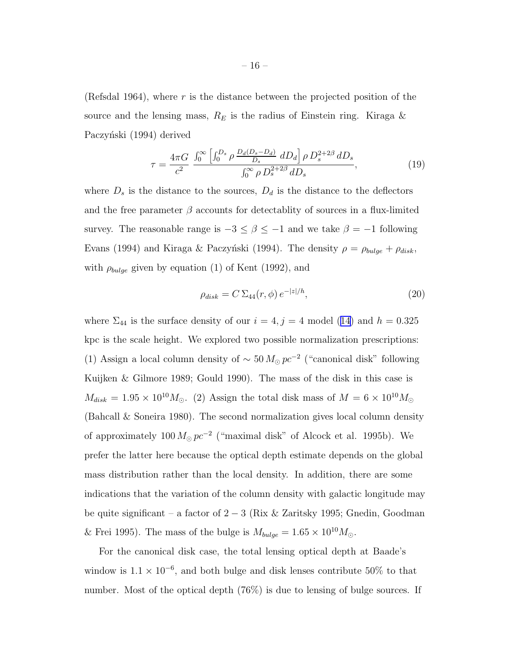<span id="page-16-0"></span>(Refsdal 1964), where r is the distance between the projected position of the source and the lensing mass,  $R_E$  is the radius of Einstein ring. Kiraga & Paczyński (1994) derived

$$
\tau = \frac{4\pi G}{c^2} \frac{\int_0^\infty \left[ \int_0^{D_s} \rho \frac{D_d(D_s - D_d)}{D_s} \, dD_d \right] \rho \, D_s^{2+2\beta} \, dD_s}{\int_0^\infty \rho \, D_s^{2+2\beta} \, dD_s},\tag{19}
$$

where  $D_s$  is the distance to the sources,  $D_d$  is the distance to the deflectors and the free parameter  $\beta$  accounts for detectablity of sources in a flux-limited survey. The reasonable range is  $-3 \le \beta \le -1$  and we take  $\beta = -1$  following Evans (1994) and Kiraga & Paczyński (1994). The density  $\rho = \rho_{bulge} + \rho_{disk}$ , with  $\rho_{bulge}$  given by equation (1) of Kent (1992), and

$$
\rho_{disk} = C \sum_{44}(r,\phi) e^{-|z|/h},\tag{20}
$$

where  $\Sigma_{44}$  is the surface density of our  $i = 4, j = 4$  model ([14\)](#page-10-0) and  $h = 0.325$ kpc is the scale height. We explored two possible normalization prescriptions: (1) Assign a local column density of  $\sim 50 M_{\odot} pc^{-2}$  ("canonical disk" following Kuijken & Gilmore 1989; Gould 1990). The mass of the disk in this case is  $M_{disk} = 1.95 \times 10^{10} M_{\odot}$ . (2) Assign the total disk mass of  $M = 6 \times 10^{10} M_{\odot}$ (Bahcall & Soneira 1980). The second normalization gives local column density of approximately  $100 M_{\odot} pc^{-2}$  ("maximal disk" of Alcock et al. 1995b). We prefer the latter here because the optical depth estimate depends on the global mass distribution rather than the local density. In addition, there are some indications that the variation of the column density with galactic longitude may be quite significant – a factor of  $2-3$  (Rix & Zaritsky 1995; Gnedin, Goodman & Frei 1995). The mass of the bulge is  $M_{bulge} = 1.65 \times 10^{10} M_{\odot}$ .

For the canonical disk case, the total lensing optical depth at Baade's window is  $1.1 \times 10^{-6}$ , and both bulge and disk lenses contribute 50% to that number. Most of the optical depth (76%) is due to lensing of bulge sources. If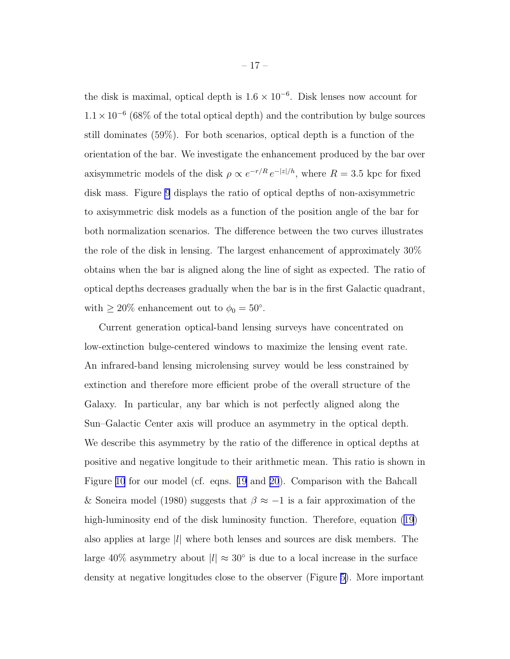the disk is maximal, optical depth is  $1.6 \times 10^{-6}$ . Disk lenses now account for  $1.1 \times 10^{-6}$  (68% of the total optical depth) and the contribution by bulge sources still dominates (59%). For both scenarios, optical depth is a function of the orientation of the bar. We investigate the enhancement produced by the bar over axisymmetric models of the disk  $\rho \propto e^{-r/R} e^{-|z|/h}$ , where  $R = 3.5$  kpc for fixed disk mass. Figure [9](#page-27-0) displays the ratio of optical depths of non-axisymmetric to axisymmetric disk models as a function of the position angle of the bar for both normalization scenarios. The difference between the two curves illustrates the role of the disk in lensing. The largest enhancement of approximately 30% obtains when the bar is aligned along the line of sight as expected. The ratio of optical depths decreases gradually when the bar is in the first Galactic quadrant, with  $\geq 20\%$  enhancement out to  $\phi_0 = 50^\circ$ .

Current generation optical-band lensing surveys have concentrated on low-extinction bulge-centered windows to maximize the lensing event rate. An infrared-band lensing microlensing survey would be less constrained by extinction and therefore more efficient probe of the overall structure of the Galaxy. In particular, any bar which is not perfectly aligned along the Sun–Galactic Center axis will produce an asymmetry in the optical depth. We describe this asymmetry by the ratio of the difference in optical depths at positive and negative longitude to their arithmetic mean. This ratio is shown in Figure [10](#page-27-0) for our model (cf. eqns. [19](#page-16-0) and [20](#page-16-0)). Comparison with the Bahcall & Soneira model (1980) suggests that  $\beta \approx -1$  is a fair approximation of the high-luminosity end of the disk luminosity function. Therefore, equation [\(19](#page-16-0)) also applies at large |l| where both lenses and sources are disk members. The large 40% asymmetry about  $|l| \approx 30^{\circ}$  is due to a local increase in the surface density at negative longitudes close to the observer (Figure [5\)](#page-26-0). More important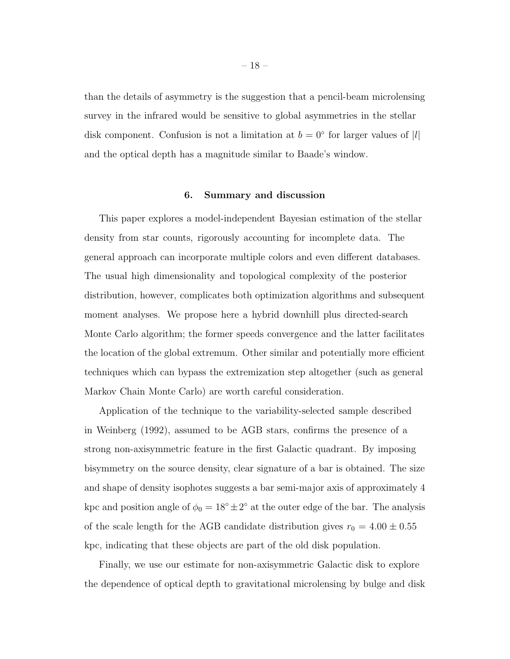<span id="page-18-0"></span>than the details of asymmetry is the suggestion that a pencil-beam microlensing survey in the infrared would be sensitive to global asymmetries in the stellar disk component. Confusion is not a limitation at  $b = 0^{\circ}$  for larger values of |l| and the optical depth has a magnitude similar to Baade's window.

#### 6. Summary and discussion

This paper explores a model-independent Bayesian estimation of the stellar density from star counts, rigorously accounting for incomplete data. The general approach can incorporate multiple colors and even different databases. The usual high dimensionality and topological complexity of the posterior distribution, however, complicates both optimization algorithms and subsequent moment analyses. We propose here a hybrid downhill plus directed-search Monte Carlo algorithm; the former speeds convergence and the latter facilitates the location of the global extremum. Other similar and potentially more efficient techniques which can bypass the extremization step altogether (such as general Markov Chain Monte Carlo) are worth careful consideration.

Application of the technique to the variability-selected sample described in Weinberg (1992), assumed to be AGB stars, confirms the presence of a strong non-axisymmetric feature in the first Galactic quadrant. By imposing bisymmetry on the source density, clear signature of a bar is obtained. The size and shape of density isophotes suggests a bar semi-major axis of approximately 4 kpc and position angle of  $\phi_0 = 18^\circ \pm 2^\circ$  at the outer edge of the bar. The analysis of the scale length for the AGB candidate distribution gives  $r_0 = 4.00 \pm 0.55$ kpc, indicating that these objects are part of the old disk population.

Finally, we use our estimate for non-axisymmetric Galactic disk to explore the dependence of optical depth to gravitational microlensing by bulge and disk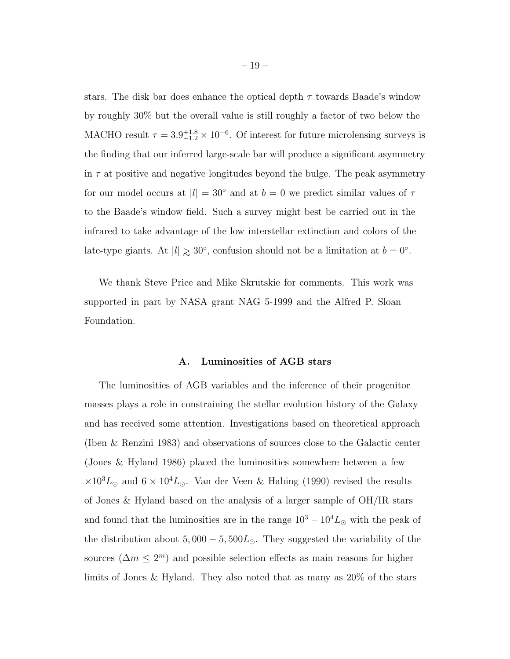stars. The disk bar does enhance the optical depth  $\tau$  towards Baade's window by roughly 30% but the overall value is still roughly a factor of two below the MACHO result  $\tau = 3.9^{+1.8}_{-1.2} \times 10^{-6}$ . Of interest for future microlensing surveys is the finding that our inferred large-scale bar will produce a significant asymmetry in  $\tau$  at positive and negative longitudes beyond the bulge. The peak asymmetry for our model occurs at  $|l| = 30^{\circ}$  and at  $b = 0$  we predict similar values of  $\tau$ to the Baade's window field. Such a survey might best be carried out in the infrared to take advantage of the low interstellar extinction and colors of the late-type giants. At  $|l| \ge 30^{\circ}$ , confusion should not be a limitation at  $b = 0^{\circ}$ .

We thank Steve Price and Mike Skrutskie for comments. This work was supported in part by NASA grant NAG 5-1999 and the Alfred P. Sloan Foundation.

#### A. Luminosities of AGB stars

The luminosities of AGB variables and the inference of their progenitor masses plays a role in constraining the stellar evolution history of the Galaxy and has received some attention. Investigations based on theoretical approach (Iben & Renzini 1983) and observations of sources close to the Galactic center (Jones & Hyland 1986) placed the luminosities somewhere between a few  $\times 10^{3} L_{\odot}$  and 6  $\times 10^{4} L_{\odot}$ . Van der Veen & Habing (1990) revised the results of Jones & Hyland based on the analysis of a larger sample of OH/IR stars and found that the luminosities are in the range  $10^3 - 10^4 L_{\odot}$  with the peak of the distribution about  $5,000 - 5,500L_{\odot}$ . They suggested the variability of the sources  $(\Delta m \leq 2<sup>m</sup>)$  and possible selection effects as main reasons for higher limits of Jones & Hyland. They also noted that as many as 20% of the stars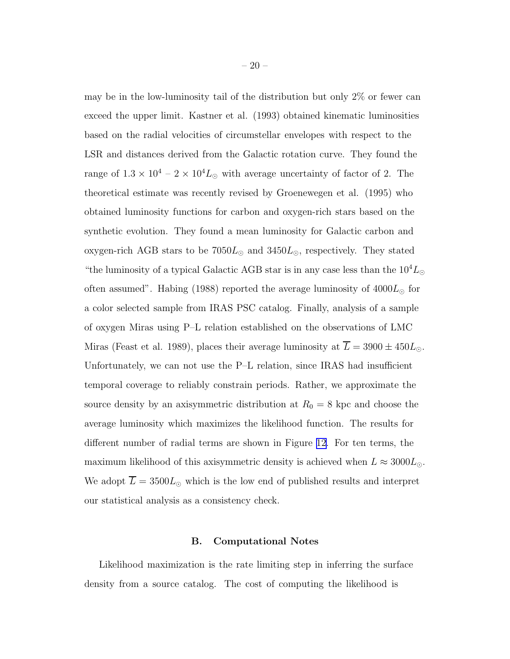– 20 –

may be in the low-luminosity tail of the distribution but only 2% or fewer can exceed the upper limit. Kastner et al. (1993) obtained kinematic luminosities based on the radial velocities of circumstellar envelopes with respect to the LSR and distances derived from the Galactic rotation curve. They found the range of  $1.3 \times 10^4$  –  $2 \times 10^4 L_{\odot}$  with average uncertainty of factor of 2. The theoretical estimate was recently revised by Groenewegen et al. (1995) who obtained luminosity functions for carbon and oxygen-rich stars based on the synthetic evolution. They found a mean luminosity for Galactic carbon and oxygen-rich AGB stars to be  $7050L_{\odot}$  and  $3450L_{\odot}$ , respectively. They stated "the luminosity of a typical Galactic AGB star is in any case less than the  $10^4L_{\odot}$ often assumed". Habing (1988) reported the average luminosity of  $4000L_{\odot}$  for a color selected sample from IRAS PSC catalog. Finally, analysis of a sample of oxygen Miras using P–L relation established on the observations of LMC Miras (Feast et al. 1989), places their average luminosity at  $\overline{L} = 3900 \pm 450 L_\odot$ . Unfortunately, we can not use the P–L relation, since IRAS had insufficient temporal coverage to reliably constrain periods. Rather, we approximate the source density by an axisymmetric distribution at  $R_0 = 8$  kpc and choose the average luminosity which maximizes the likelihood function. The results for different number of radial terms are shown in Figure [12.](#page-27-0) For ten terms, the maximum likelihood of this axisymmetric density is achieved when  $L \approx 3000 L_{\odot}$ . We adopt  $\overline{L} = 3500L_{\odot}$  which is the low end of published results and interpret our statistical analysis as a consistency check.

#### B. Computational Notes

Likelihood maximization is the rate limiting step in inferring the surface density from a source catalog. The cost of computing the likelihood is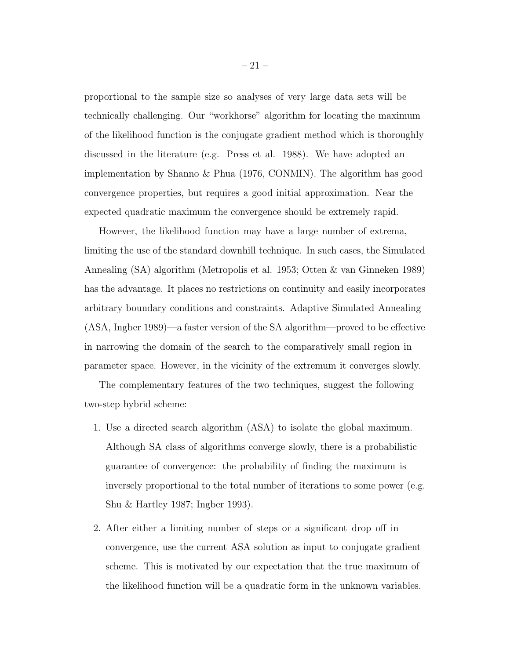proportional to the sample size so analyses of very large data sets will be technically challenging. Our "workhorse" algorithm for locating the maximum of the likelihood function is the conjugate gradient method which is thoroughly discussed in the literature (e.g. Press et al. 1988). We have adopted an implementation by Shanno & Phua (1976, CONMIN). The algorithm has good convergence properties, but requires a good initial approximation. Near the expected quadratic maximum the convergence should be extremely rapid.

However, the likelihood function may have a large number of extrema, limiting the use of the standard downhill technique. In such cases, the Simulated Annealing (SA) algorithm (Metropolis et al. 1953; Otten & van Ginneken 1989) has the advantage. It places no restrictions on continuity and easily incorporates arbitrary boundary conditions and constraints. Adaptive Simulated Annealing (ASA, Ingber 1989)—a faster version of the SA algorithm—proved to be effective in narrowing the domain of the search to the comparatively small region in parameter space. However, in the vicinity of the extremum it converges slowly.

The complementary features of the two techniques, suggest the following two-step hybrid scheme:

- 1. Use a directed search algorithm (ASA) to isolate the global maximum. Although SA class of algorithms converge slowly, there is a probabilistic guarantee of convergence: the probability of finding the maximum is inversely proportional to the total number of iterations to some power (e.g. Shu & Hartley 1987; Ingber 1993).
- 2. After either a limiting number of steps or a significant drop off in convergence, use the current ASA solution as input to conjugate gradient scheme. This is motivated by our expectation that the true maximum of the likelihood function will be a quadratic form in the unknown variables.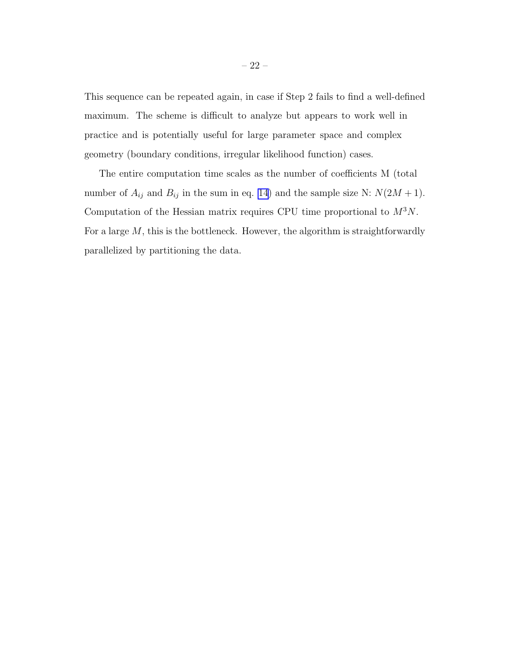This sequence can be repeated again, in case if Step 2 fails to find a well-defined maximum. The scheme is difficult to analyze but appears to work well in practice and is potentially useful for large parameter space and complex geometry (boundary conditions, irregular likelihood function) cases.

The entire computation time scales as the number of coefficients M (total number of  $A_{ij}$  and  $B_{ij}$  in the sum in eq. [14](#page-10-0)) and the sample size N:  $N(2M + 1)$ . Computation of the Hessian matrix requires CPU time proportional to  $M^3N$ . For a large  $M$ , this is the bottleneck. However, the algorithm is straightforwardly parallelized by partitioning the data.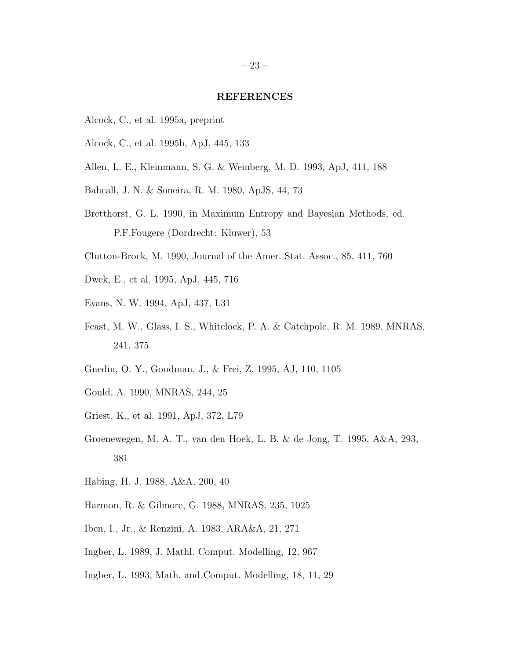### REFERENCES

- Alcock, C., et al. 1995a, preprint
- Alcock, C., et al. 1995b, ApJ, 445, 133
- Allen, L. E., Kleinmann, S. G. & Weinberg, M. D. 1993, ApJ, 411, 188
- Bahcall, J. N. & Soneira, R. M. 1980, ApJS, 44, 73
- Bretthorst, G. L. 1990, in Maximum Entropy and Bayesian Methods, ed. P.F.Fougere (Dordrecht: Kluwer), 53
- Clutton-Brock, M. 1990, Journal of the Amer. Stat. Assoc., 85, 411, 760
- Dwek, E., et al. 1995, ApJ, 445, 716
- Evans, N. W. 1994, ApJ, 437, L31
- Feast, M. W., Glass, I. S., Whitelock, P. A. & Catchpole, R. M. 1989, MNRAS, 241, 375
- Gnedin, O. Y., Goodman, J., & Frei, Z. 1995, AJ, 110, 1105
- Gould, A. 1990, MNRAS, 244, 25
- Griest, K., et al. 1991, ApJ, 372, L79
- Groenewegen, M. A. T., van den Hoek, L. B. & de Jong, T. 1995, A&A, 293, 381
- Habing, H. J. 1988, A&A, 200, 40
- Harmon, R. & Gilmore, G. 1988, MNRAS, 235, 1025
- Iben, I., Jr., & Renzini, A. 1983, ARA&A, 21, 271
- Ingber, L. 1989, J. Mathl. Comput. Modelling, 12, 967
- Ingber, L. 1993, Math. and Comput. Modelling, 18, 11, 29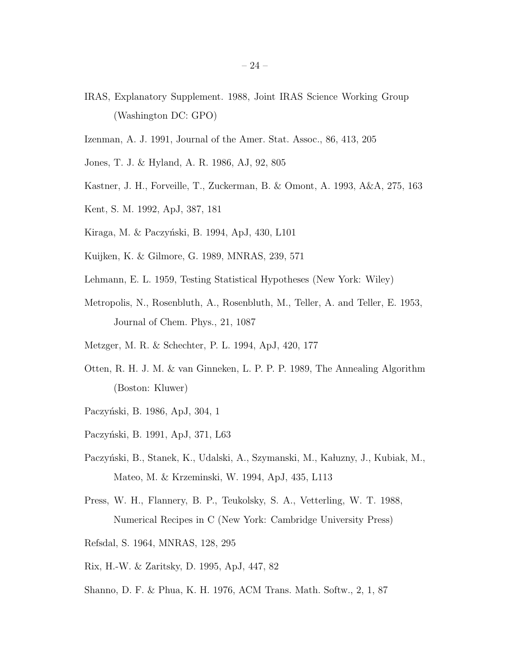- IRAS, Explanatory Supplement. 1988, Joint IRAS Science Working Group (Washington DC: GPO)
- Izenman, A. J. 1991, Journal of the Amer. Stat. Assoc., 86, 413, 205
- Jones, T. J. & Hyland, A. R. 1986, AJ, 92, 805
- Kastner, J. H., Forveille, T., Zuckerman, B. & Omont, A. 1993, A&A, 275, 163
- Kent, S. M. 1992, ApJ, 387, 181
- Kiraga, M. & Paczyński, B. 1994, ApJ, 430, L101
- Kuijken, K. & Gilmore, G. 1989, MNRAS, 239, 571
- Lehmann, E. L. 1959, Testing Statistical Hypotheses (New York: Wiley)
- Metropolis, N., Rosenbluth, A., Rosenbluth, M., Teller, A. and Teller, E. 1953, Journal of Chem. Phys., 21, 1087
- Metzger, M. R. & Schechter, P. L. 1994, ApJ, 420, 177
- Otten, R. H. J. M. & van Ginneken, L. P. P. P. 1989, The Annealing Algorithm (Boston: Kluwer)
- Paczyński, B. 1986, ApJ, 304, 1
- Paczyński, B. 1991, ApJ, 371, L63
- Paczyński, B., Stanek, K., Udalski, A., Szymanski, M., Kałuzny, J., Kubiak, M., Mateo, M. & Krzeminski, W. 1994, ApJ, 435, L113
- Press, W. H., Flannery, B. P., Teukolsky, S. A., Vetterling, W. T. 1988, Numerical Recipes in C (New York: Cambridge University Press)
- Refsdal, S. 1964, MNRAS, 128, 295
- Rix, H.-W. & Zaritsky, D. 1995, ApJ, 447, 82
- Shanno, D. F. & Phua, K. H. 1976, ACM Trans. Math. Softw., 2, 1, 87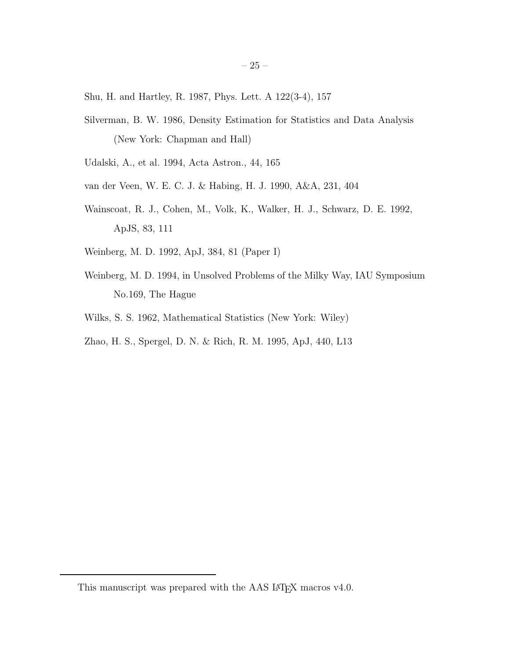- Shu, H. and Hartley, R. 1987, Phys. Lett. A 122(3-4), 157
- Silverman, B. W. 1986, Density Estimation for Statistics and Data Analysis (New York: Chapman and Hall)
- Udalski, A., et al. 1994, Acta Astron., 44, 165
- van der Veen, W. E. C. J. & Habing, H. J. 1990, A&A, 231, 404
- Wainscoat, R. J., Cohen, M., Volk, K., Walker, H. J., Schwarz, D. E. 1992, ApJS, 83, 111
- Weinberg, M. D. 1992, ApJ, 384, 81 (Paper I)
- Weinberg, M. D. 1994, in Unsolved Problems of the Milky Way, IAU Symposium No.169, The Hague
- Wilks, S. S. 1962, Mathematical Statistics (New York: Wiley)
- Zhao, H. S., Spergel, D. N. & Rich, R. M. 1995, ApJ, 440, L13

This manuscript was prepared with the AAS IATEX macros v4.0.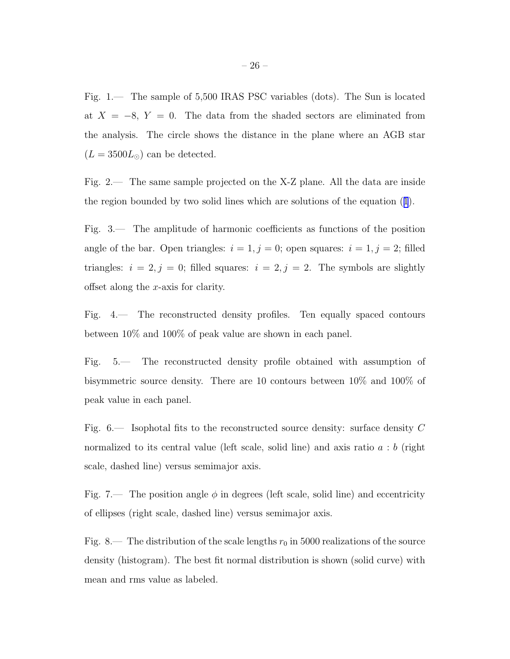<span id="page-26-0"></span>Fig. 1.— The sample of 5,500 IRAS PSC variables (dots). The Sun is located at  $X = -8$ ,  $Y = 0$ . The data from the shaded sectors are eliminated from the analysis. The circle shows the distance in the plane where an AGB star  $(L = 3500L_{\odot})$  can be detected.

Fig. 2.— The same sample projected on the X-Z plane. All the data are inside the region bounded by two solid lines which are solutions of the equation ([1](#page-5-0)).

Fig. 3.— The amplitude of harmonic coefficients as functions of the position angle of the bar. Open triangles:  $i = 1, j = 0$ ; open squares:  $i = 1, j = 2$ ; filled triangles:  $i = 2, j = 0$ ; filled squares:  $i = 2, j = 2$ . The symbols are slightly offset along the x-axis for clarity.

Fig. 4.— The reconstructed density profiles. Ten equally spaced contours between 10% and 100% of peak value are shown in each panel.

Fig. 5.— The reconstructed density profile obtained with assumption of bisymmetric source density. There are 10 contours between 10% and 100% of peak value in each panel.

Fig.  $6$ — Isophotal fits to the reconstructed source density: surface density  $C$ normalized to its central value (left scale, solid line) and axis ratio  $a:b$  (right scale, dashed line) versus semimajor axis.

Fig. 7.— The position angle  $\phi$  in degrees (left scale, solid line) and eccentricity of ellipses (right scale, dashed line) versus semimajor axis.

Fig. 8.— The distribution of the scale lengths  $r_0$  in 5000 realizations of the source density (histogram). The best fit normal distribution is shown (solid curve) with mean and rms value as labeled.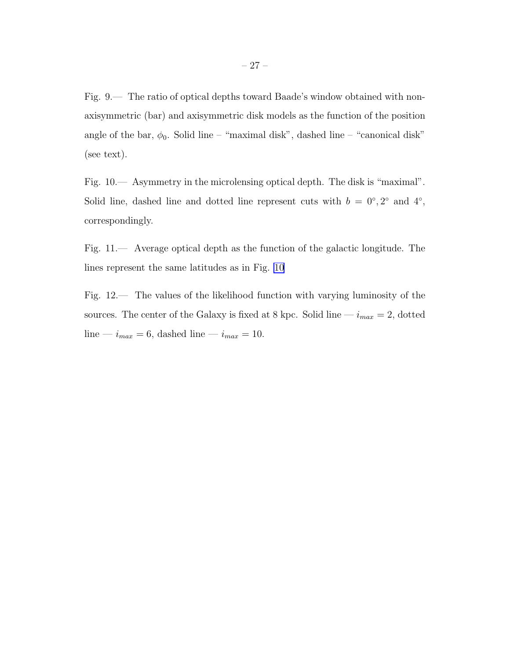<span id="page-27-0"></span>Fig. 9.— The ratio of optical depths toward Baade's window obtained with nonaxisymmetric (bar) and axisymmetric disk models as the function of the position angle of the bar,  $\phi_0$ . Solid line – "maximal disk", dashed line – "canonical disk" (see text).

Fig. 10.— Asymmetry in the microlensing optical depth. The disk is "maximal". Solid line, dashed line and dotted line represent cuts with  $b = 0^{\circ}, 2^{\circ}$  and  $4^{\circ}$ , correspondingly.

Fig. 11.— Average optical depth as the function of the galactic longitude. The lines represent the same latitudes as in Fig. 10

Fig. 12.— The values of the likelihood function with varying luminosity of the sources. The center of the Galaxy is fixed at 8 kpc. Solid line —  $i_{max} = 2$ , dotted line —  $i_{\max}=6,$  dashed line —  $i_{\max}=10.$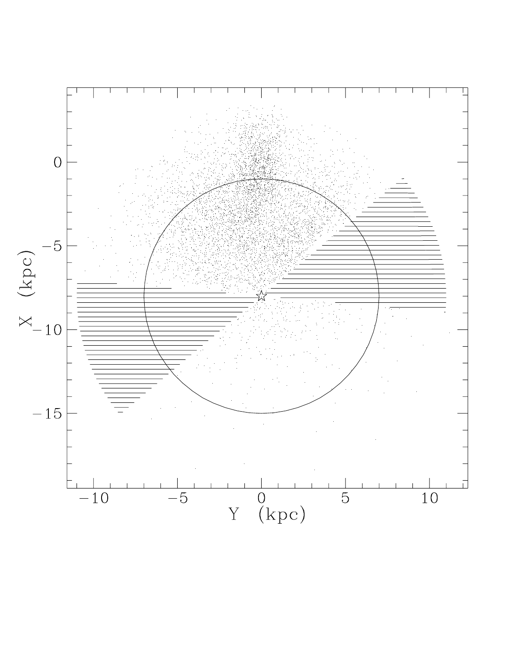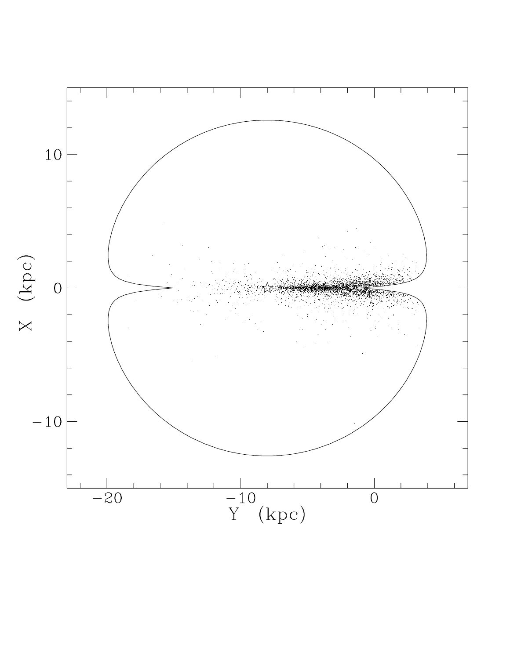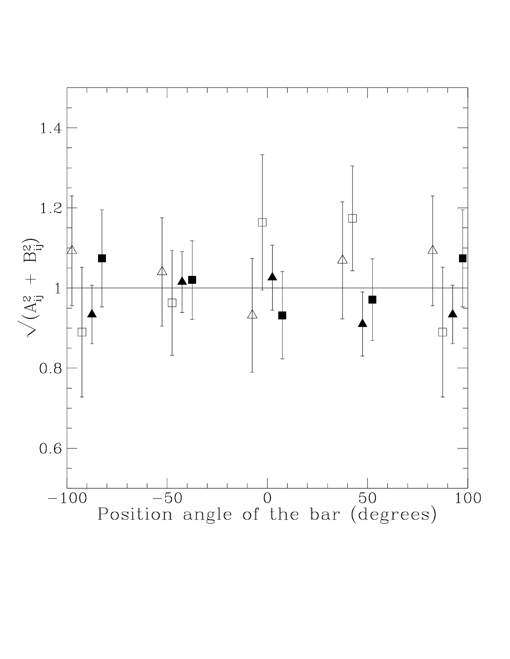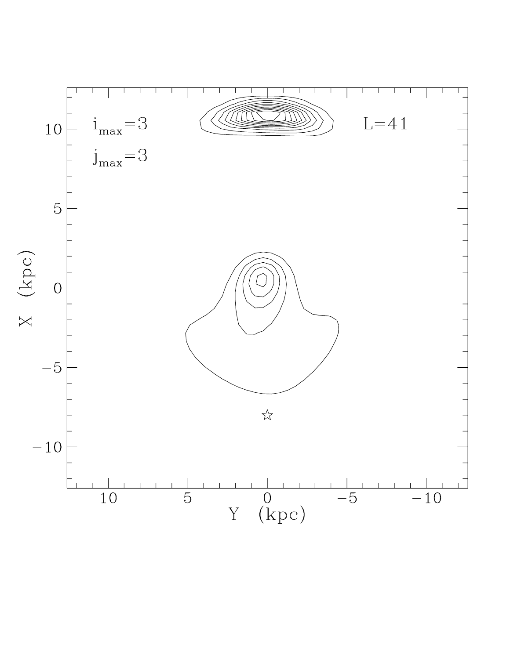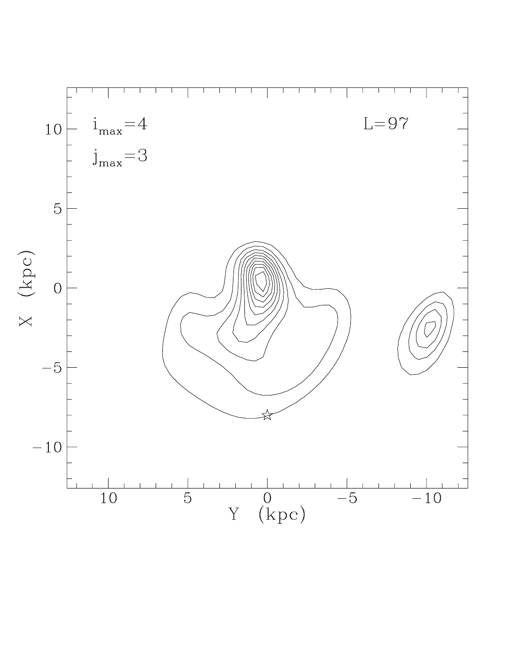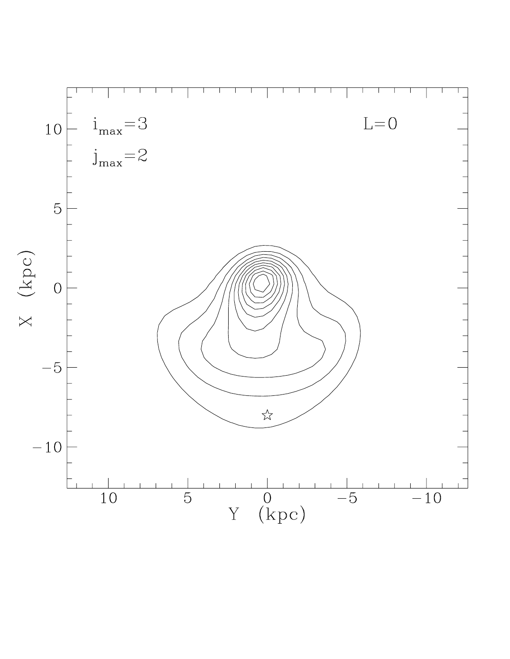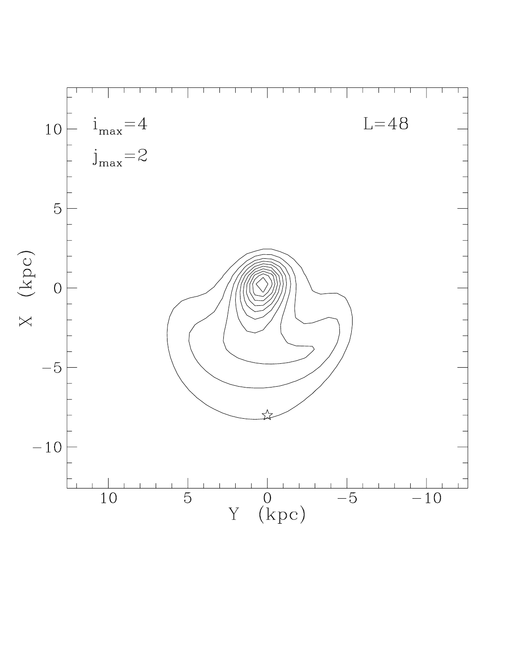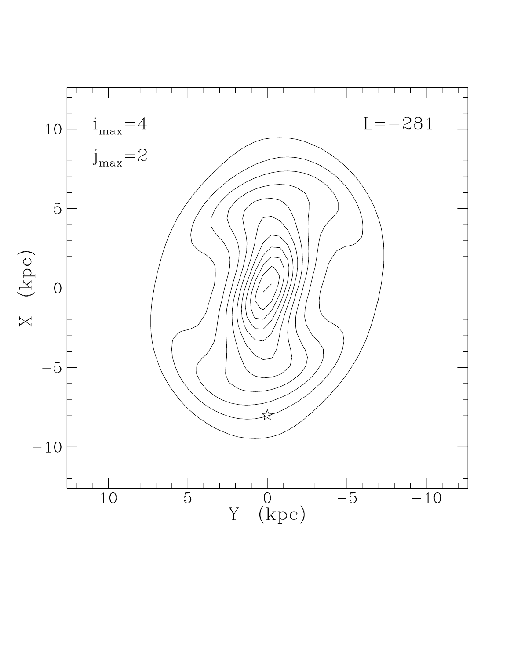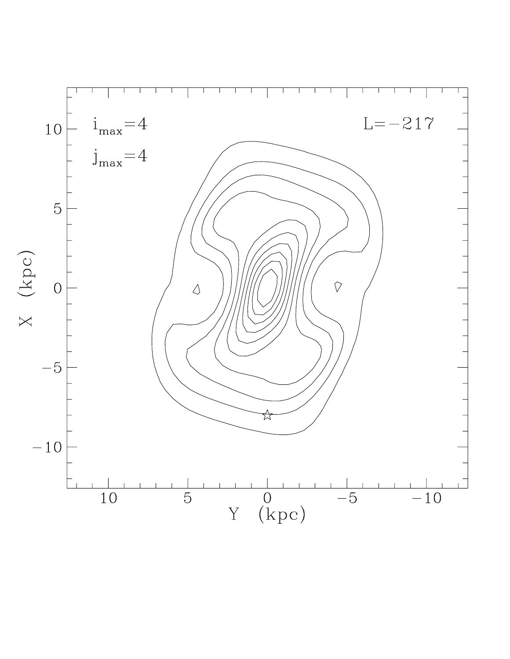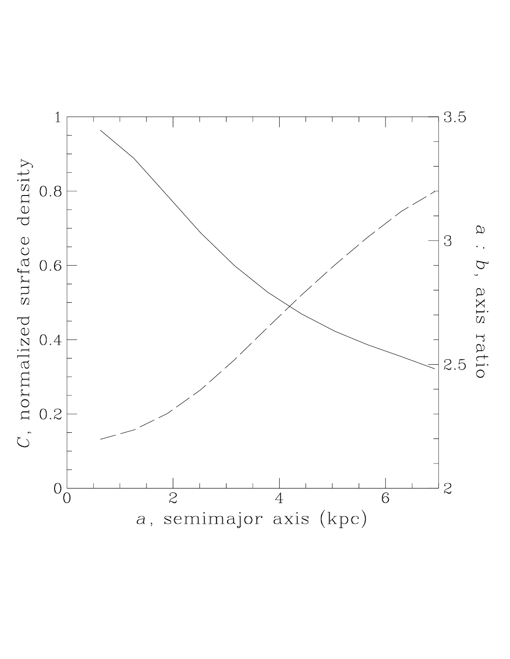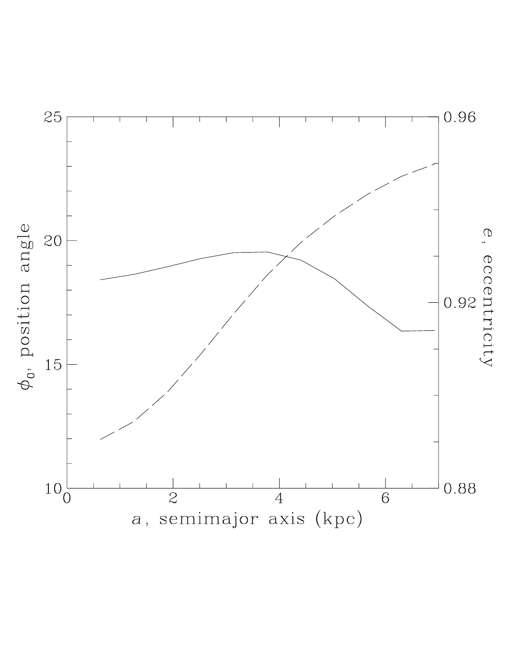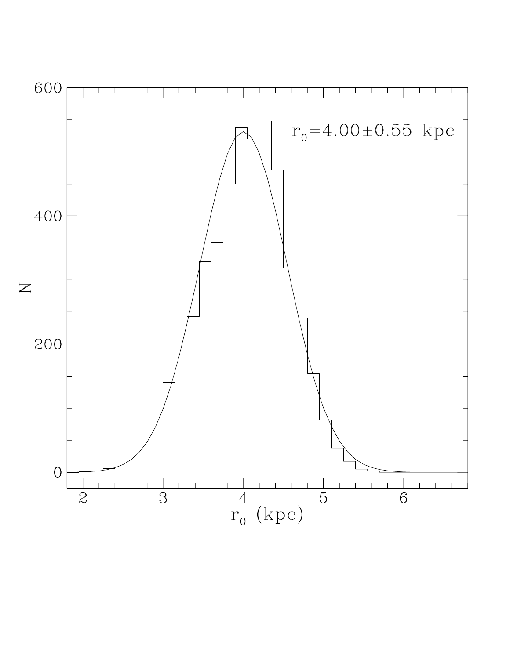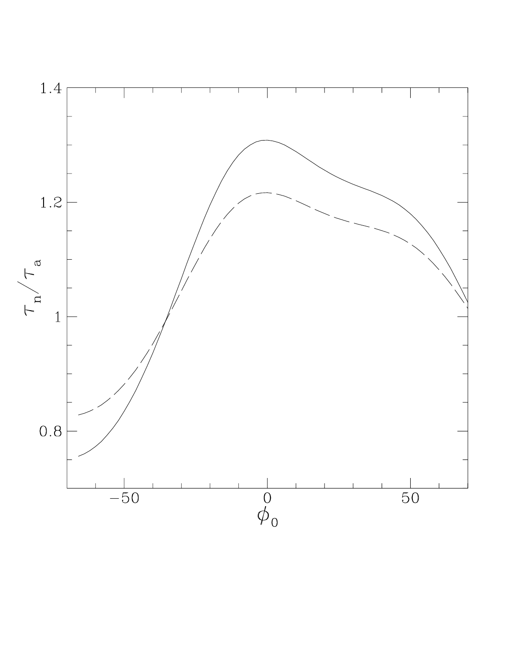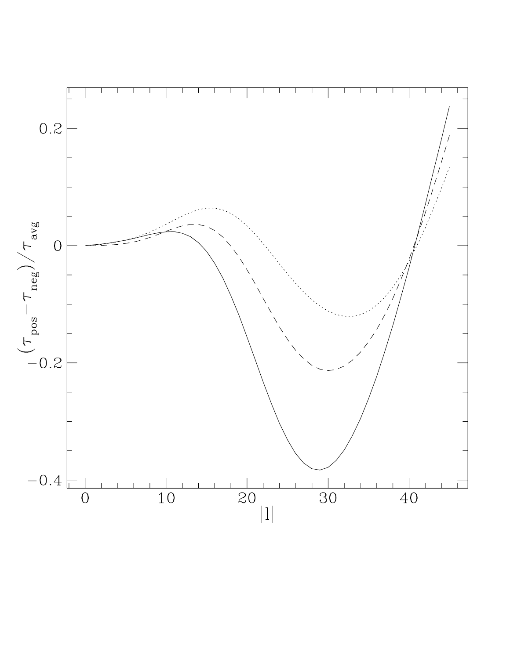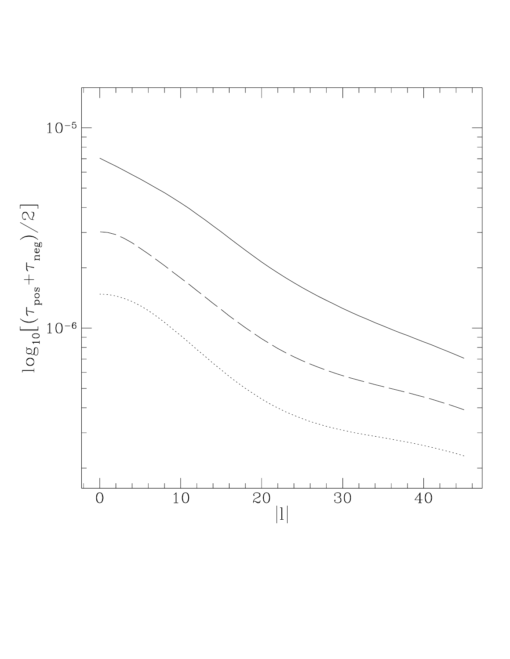